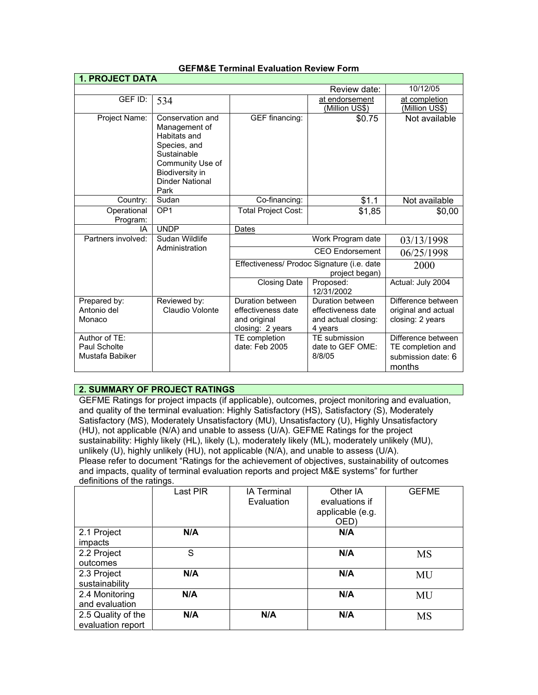| <b>1. PROJECT DATA</b>                           |                                                                                                                                                           |                                                                            |                                                                          |                                                                         |  |  |
|--------------------------------------------------|-----------------------------------------------------------------------------------------------------------------------------------------------------------|----------------------------------------------------------------------------|--------------------------------------------------------------------------|-------------------------------------------------------------------------|--|--|
|                                                  | 10/12/05                                                                                                                                                  |                                                                            |                                                                          |                                                                         |  |  |
| GEF ID:                                          | 534                                                                                                                                                       |                                                                            | at endorsement<br>(Million US\$)                                         | at completion<br>(Million US\$)                                         |  |  |
| Project Name:                                    | Conservation and<br>Management of<br>Habitats and<br>Species, and<br>Sustainable<br>Community Use of<br>Biodiversity in<br><b>Dinder National</b><br>Park | GEF financing:                                                             | \$0.75                                                                   | Not available                                                           |  |  |
| Country:                                         | Sudan                                                                                                                                                     | Co-financing:                                                              | \$1.1                                                                    | Not available                                                           |  |  |
| Operational<br>Program:                          | OP <sub>1</sub>                                                                                                                                           | <b>Total Project Cost:</b>                                                 | \$1,85                                                                   | \$0,00                                                                  |  |  |
| IA.                                              | <b>UNDP</b>                                                                                                                                               | Dates                                                                      | Work Program date                                                        |                                                                         |  |  |
| Partners involved:                               | Sudan Wildlife                                                                                                                                            |                                                                            | 03/13/1998                                                               |                                                                         |  |  |
|                                                  | Administration                                                                                                                                            | <b>CEO</b> Endorsement                                                     |                                                                          | 06/25/1998                                                              |  |  |
| Effectiveness/ Prodoc Signature (i.e. date       |                                                                                                                                                           | project began)                                                             | 2000                                                                     |                                                                         |  |  |
|                                                  |                                                                                                                                                           | <b>Closing Date</b>                                                        | Proposed:<br>12/31/2002                                                  | Actual: July 2004                                                       |  |  |
| Prepared by:<br>Antonio del<br>Monaco            | Reviewed by:<br>Claudio Volonte                                                                                                                           | Duration between<br>effectiveness date<br>and original<br>closing: 2 years | Duration between<br>effectiveness date<br>and actual closing:<br>4 years | Difference between<br>original and actual<br>closing: 2 years           |  |  |
| Author of TE:<br>Paul Scholte<br>Mustafa Babiker |                                                                                                                                                           | TE completion<br>date: $Feb$ 2005                                          | TE submission<br>date to GEF OME:<br>8/8/05                              | Difference between<br>TE completion and<br>submission date: 6<br>months |  |  |

## **GEFM&E Terminal Evaluation Review Form**

# **2. SUMMARY OF PROJECT RATINGS**

GEFME Ratings for project impacts (if applicable), outcomes, project monitoring and evaluation, and quality of the terminal evaluation: Highly Satisfactory (HS), Satisfactory (S), Moderately Satisfactory (MS), Moderately Unsatisfactory (MU), Unsatisfactory (U), Highly Unsatisfactory (HU), not applicable (N/A) and unable to assess (U/A). GEFME Ratings for the project sustainability: Highly likely (HL), likely (L), moderately likely (ML), moderately unlikely (MU), unlikely (U), highly unlikely (HU), not applicable (N/A), and unable to assess (U/A). Please refer to document "Ratings for the achievement of objectives, sustainability of outcomes and impacts, quality of terminal evaluation reports and project M&E systems" for further definitions of the ratings.

|                                         | Last PIR | <b>IA Terminal</b><br>Evaluation | Other IA<br>evaluations if<br>applicable (e.g.<br>OED) | <b>GEFME</b> |
|-----------------------------------------|----------|----------------------------------|--------------------------------------------------------|--------------|
| 2.1 Project<br>impacts                  | N/A      |                                  | N/A                                                    |              |
| 2.2 Project<br>outcomes                 | S        |                                  | N/A                                                    | <b>MS</b>    |
| 2.3 Project<br>sustainability           | N/A      |                                  | N/A                                                    | MU           |
| 2.4 Monitoring<br>and evaluation        | N/A      |                                  | N/A                                                    | MU           |
| 2.5 Quality of the<br>evaluation report | N/A      | N/A                              | N/A                                                    | <b>MS</b>    |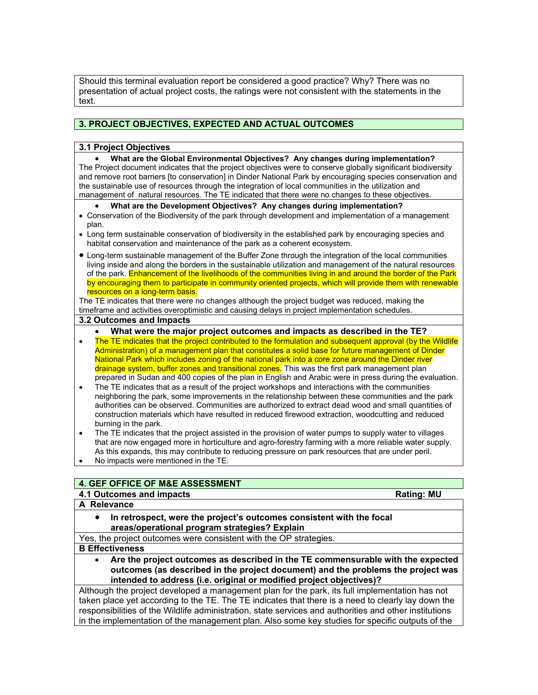Should this terminal evaluation report be considered a good practice? Why? There was no presentation of actual project costs, the ratings were not consistent with the statements in the text.

## **3. PROJECT OBJECTIVES, EXPECTED AND ACTUAL OUTCOMES**

## **3.1 Project Objectives**

• **What are the Global Environmental Objectives? Any changes during implementation?** The Project document indicates that the project objectives were to conserve globally significant biodiversity and remove root barriers [to conservation] in Dinder National Park by encouraging species conservation and the sustainable use of resources through the integration of local communities in the utilization and management of natural resources. The TE indicated that there were no changes to these objectives.

#### • **What are the Development Objectives? Any changes during implementation?**

- Conservation of the Biodiversity of the park through development and implementation of a management plan.
- Long term sustainable conservation of biodiversity in the established park by encouraging species and habitat conservation and maintenance of the park as a coherent ecosystem.
- Long-term sustainable management of the Buffer Zone through the integration of the local communities living inside and along the borders in the sustainable utilization and management of the natural resources of the park. Enhancement of the livelihoods of the communities living in and around the border of the Park by encouraging them to participate in community oriented projects, which will provide them with renewable resources on a long-term basis.

The TE indicates that there were no changes although the project budget was reduced, making the timeframe and activities overoptimistic and causing delays in project implementation schedules.

## **3.2 Outcomes and Impacts**

- **What were the major project outcomes and impacts as described in the TE?**
- The TE indicates that the project contributed to the formulation and subsequent approval (by the Wildlife Administration) of a management plan that constitutes a solid base for future management of Dinder National Park which includes zoning of the national park into a core zone around the Dinder river drainage system, buffer zones and transitional zones. This was the first park management plan prepared in Sudan and 400 copies of the plan in English and Arabic were in press during the evaluation.
- The TE indicates that as a result of the project workshops and interactions with the communities neighboring the park, some improvements in the relationship between these communities and the park authorities can be observed. Communities are authorized to extract dead wood and small quantities of construction materials which have resulted in reduced firewood extraction, woodcutting and reduced burning in the park.
- The TE indicates that the project assisted in the provision of water pumps to supply water to villages that are now engaged more in horticulture and agro-forestry farming with a more reliable water supply. As this expands, this may contribute to reducing pressure on park resources that are under peril.
- No impacts were mentioned in the TE.

## **4. GEF OFFICE OF M&E ASSESSMENT**

#### **4.1 Outcomes and impacts Rating: MU 2009 12:00 Rating: MU 2009 20:00 Rating: MU**

# **A Relevance**

• **In retrospect, were the project's outcomes consistent with the focal areas/operational program strategies? Explain**

Yes, the project outcomes were consistent with the OP strategies.

#### **B Effectiveness**

• **Are the project outcomes as described in the TE commensurable with the expected outcomes (as described in the project document) and the problems the project was intended to address (i.e. original or modified project objectives)?** 

Although the project developed a management plan for the park, its full implementation has not taken place yet according to the TE. The TE indicates that there is a need to clearly lay down the responsibilities of the Wildlife administration, state services and authorities and other institutions in the implementation of the management plan. Also some key studies for specific outputs of the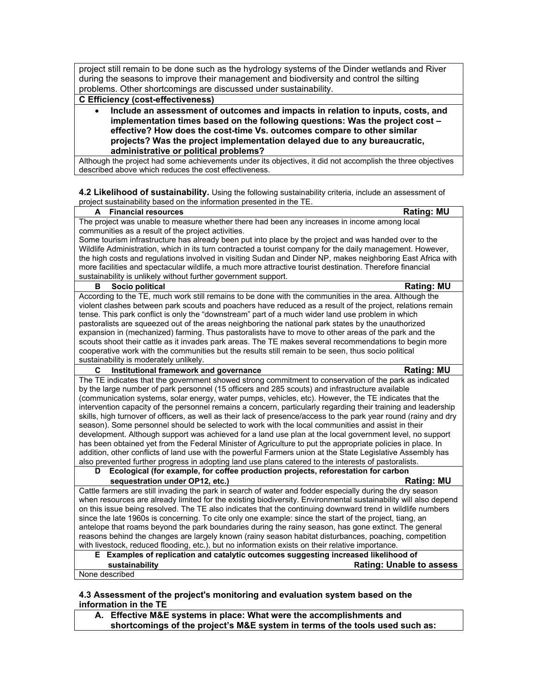project still remain to be done such as the hydrology systems of the Dinder wetlands and River during the seasons to improve their management and biodiversity and control the silting problems. Other shortcomings are discussed under sustainability.

#### **C Efficiency (cost-effectiveness)**

• **Include an assessment of outcomes and impacts in relation to inputs, costs, and implementation times based on the following questions: Was the project cost – effective? How does the cost-time Vs. outcomes compare to other similar projects? Was the project implementation delayed due to any bureaucratic, administrative or political problems?**

Although the project had some achievements under its objectives, it did not accomplish the three objectives described above which reduces the cost effectiveness.

**4.2 Likelihood of sustainability.** Using the following sustainability criteria, include an assessment of project sustainability based on the information presented in the TE.

#### **Financial resources A A Example 2 A Example 2 Rating: MU**

The project was unable to measure whether there had been any increases in income among local communities as a result of the project activities.

Some tourism infrastructure has already been put into place by the project and was handed over to the Wildlife Administration, which in its turn contracted a tourist company for the daily management. However, the high costs and regulations involved in visiting Sudan and Dinder NP, makes neighboring East Africa with more facilities and spectacular wildlife, a much more attractive tourist destination. Therefore financial sustainability is unlikely without further government support.

#### **B** Socio political **Rational Rational Rational Rational Rational Rational Rational Rational Rational Rational Rational Rational Rational Rational Rational Rational Rational Rational Rational Rational Rational Rational Rat**

According to the TE, much work still remains to be done with the communities in the area. Although the violent clashes between park scouts and poachers have reduced as a result of the project, relations remain tense. This park conflict is only the "downstream" part of a much wider land use problem in which pastoralists are squeezed out of the areas neighboring the national park states by the unauthorized expansion in (mechanized) farming. Thus pastoralists have to move to other areas of the park and the scouts shoot their cattle as it invades park areas. The TE makes several recommendations to begin more cooperative work with the communities but the results still remain to be seen, thus socio political sustainability is moderately unlikely.

### **C** Institutional framework and governance **Rating: MU** Rating: MU

The TE indicates that the government showed strong commitment to conservation of the park as indicated by the large number of park personnel (15 officers and 285 scouts) and infrastructure available (communication systems, solar energy, water pumps, vehicles, etc). However, the TE indicates that the intervention capacity of the personnel remains a concern, particularly regarding their training and leadership skills, high turnover of officers, as well as their lack of presence/access to the park year round (rainy and dry season). Some personnel should be selected to work with the local communities and assist in their development. Although support was achieved for a land use plan at the local government level, no support has been obtained yet from the Federal Minister of Agriculture to put the appropriate policies in place. In addition, other conflicts of land use with the powerful Farmers union at the State Legislative Assembly has also prevented further progress in adopting land use plans catered to the interests of pastoralists.

**D Ecological (for example, for coffee production projects, reforestation for carbon sequestration under OP12, etc.) Rating: MU**

Cattle farmers are still invading the park in search of water and fodder especially during the dry season when resources are already limited for the existing biodiversity. Environmental sustainability will also depend on this issue being resolved. The TE also indicates that the continuing downward trend in wildlife numbers since the late 1960s is concerning. To cite only one example: since the start of the project, tiang, an antelope that roams beyond the park boundaries during the rainy season, has gone extinct. The general reasons behind the changes are largely known (rainy season habitat disturbances, poaching, competition with livestock, reduced flooding, etc.), but no information exists on their relative importance.

#### **E Examples of replication and catalytic outcomes suggesting increased likelihood of sustainability Rating: Unable to assess**

None described

## **4.3 Assessment of the project's monitoring and evaluation system based on the information in the TE**

**A. Effective M&E systems in place: What were the accomplishments and shortcomings of the project's M&E system in terms of the tools used such as:**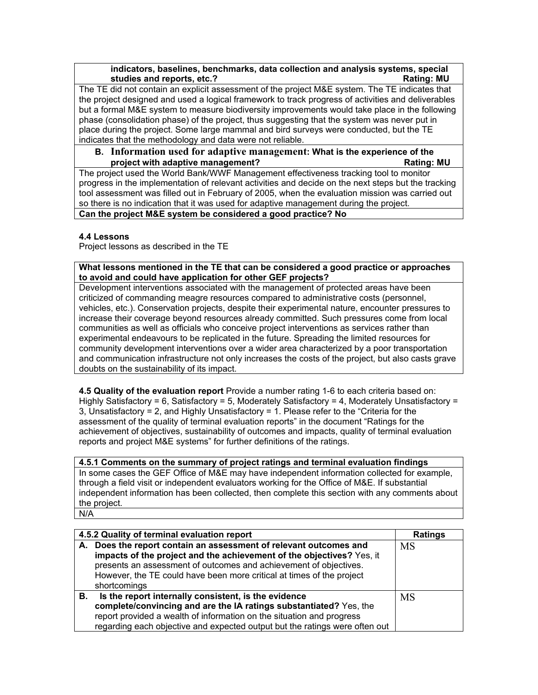## **indicators, baselines, benchmarks, data collection and analysis systems, special studies and reports, etc.? Rating: MU**

The TE did not contain an explicit assessment of the project M&E system. The TE indicates that the project designed and used a logical framework to track progress of activities and deliverables but a formal M&E system to measure biodiversity improvements would take place in the following phase (consolidation phase) of the project, thus suggesting that the system was never put in place during the project. Some large mammal and bird surveys were conducted, but the TE indicates that the methodology and data were not reliable.

# **B. Information used for adaptive management: What is the experience of the project with adaptive management? Rating: MU**

The project used the World Bank/WWF Management effectiveness tracking tool to monitor progress in the implementation of relevant activities and decide on the next steps but the tracking tool assessment was filled out in February of 2005, when the evaluation mission was carried out so there is no indication that it was used for adaptive management during the project. **Can the project M&E system be considered a good practice? No**

# **4.4 Lessons**

Project lessons as described in the TE

**What lessons mentioned in the TE that can be considered a good practice or approaches to avoid and could have application for other GEF projects?**

Development interventions associated with the management of protected areas have been criticized of commanding meagre resources compared to administrative costs (personnel, vehicles, etc.). Conservation projects, despite their experimental nature, encounter pressures to increase their coverage beyond resources already committed. Such pressures come from local communities as well as officials who conceive project interventions as services rather than experimental endeavours to be replicated in the future. Spreading the limited resources for community development interventions over a wider area characterized by a poor transportation and communication infrastructure not only increases the costs of the project, but also casts grave doubts on the sustainability of its impact.

**4.5 Quality of the evaluation report** Provide a number rating 1-6 to each criteria based on: Highly Satisfactory = 6, Satisfactory = 5, Moderately Satisfactory = 4, Moderately Unsatisfactory = 3, Unsatisfactory = 2, and Highly Unsatisfactory = 1. Please refer to the "Criteria for the assessment of the quality of terminal evaluation reports" in the document "Ratings for the achievement of objectives, sustainability of outcomes and impacts, quality of terminal evaluation reports and project M&E systems" for further definitions of the ratings.

**4.5.1 Comments on the summary of project ratings and terminal evaluation findings** In some cases the GEF Office of M&E may have independent information collected for example, through a field visit or independent evaluators working for the Office of M&E. If substantial independent information has been collected, then complete this section with any comments about the project. N/A

**4.5.2 Quality of terminal evaluation report Ratings A. Does the report contain an assessment of relevant outcomes and impacts of the project and the achievement of the objectives?** Yes, it presents an assessment of outcomes and achievement of objectives. However, the TE could have been more critical at times of the project shortcomings MS **B. Is the report internally consistent, is the evidence complete/convincing and are the IA ratings substantiated?** Yes, the report provided a wealth of information on the situation and progress regarding each objective and expected output but the ratings were often out MS